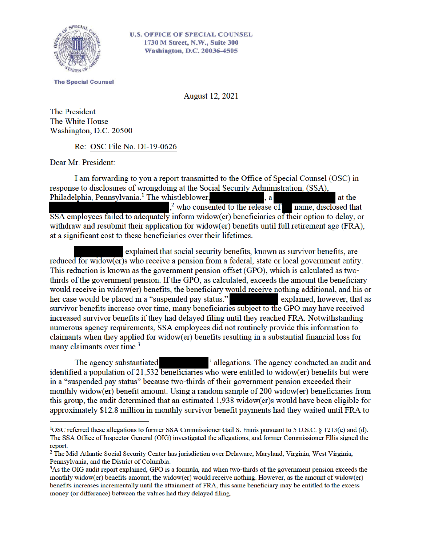

**The Special Counsel** 

**August 12, 2021** 

**The President** The White House Washington, D.C. 20500

Re: OSC File No. DI-19-0626

Dear Mr. President:

I am forwarding to you a report transmitted to the Office of Special Counsel (OSC) in response to disclosures of wrongdoing at the Social Security Administration, (SSA), Philadelphia, Pennsylvania.<sup>1</sup> The whistleblower,  $\mathbf{a}$ at the ,<sup>2</sup> who consented to the release of name, disclosed that SSA employees failed to adequately inform widow(er) beneficiaries of their option to delay, or withdraw and resubmit their application for widow(er) benefits until full retirement age (FRA), at a significant cost to these beneficiaries over their lifetimes.

explained that social security benefits, known as survivor benefits, are reduced for widow(er) who receive a pension from a federal, state or local government entity. This reduction is known as the government pension offset (GPO), which is calculated as twothirds of the government pension. If the GPO, as calculated, exceeds the amount the beneficiary would receive in widow(er) benefits, the beneficiary would receive nothing additional, and his or her case would be placed in a "suspended pay status." explained, however, that as survivor benefits increase over time, many beneficiaries subject to the GPO may have received increased survivor benefits if they had delayed filing until they reached FRA. Notwithstanding numerous agency requirements, SSA employees did not routinely provide this information to claimants when they applied for widow(er) benefits resulting in a substantial financial loss for many claimants over time.<sup>3</sup>

The agency substantiated ' allegations. The agency conducted an audit and identified a population of 21,532 beneficiaries who were entitled to widow(er) benefits but were in a "suspended pay status" because two-thirds of their government pension exceeded their monthly widow(er) benefit amount. Using a random sample of 200 widow(er) beneficiaries from this group, the audit determined that an estimated 1,938 widow(er)s would have been eligible for approximately \$12.8 million in monthly survivor benefit payments had they waited until FRA to

<sup>&</sup>lt;sup>1</sup>OSC referred these allegations to former SSA Commissioner Gail S. Ennis pursuant to 5 U.S.C. § 1213(c) and (d). The SSA Office of Inspector General (OIG) investigated the allegations, and former Commissioner Ellis signed the report.

<sup>&</sup>lt;sup>2</sup> The Mid-Atlantic Social Security Center has jurisdiction over Delaware, Maryland, Virginia, West Virginia, Pennsylvania, and the District of Columbia.

<sup>&</sup>lt;sup>3</sup>As the OIG audit report explained, GPO is a formula, and when two-thirds of the government pension exceeds the monthly widow(er) benefits amount, the widow(er) would receive nothing. However, as the amount of widow(er) benefits increases incrementally until the attainment of FRA, this same beneficiary may be entitled to the excess money (or difference) between the values had they delayed filing.